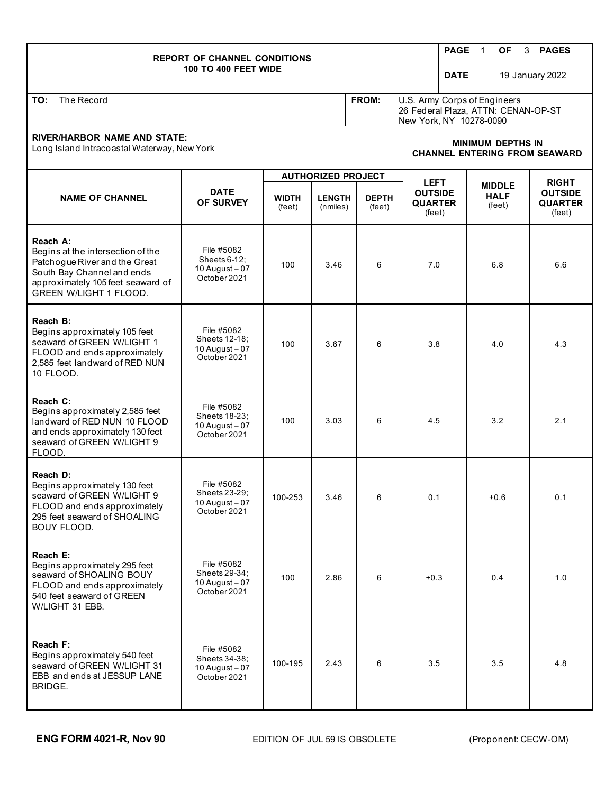| <b>REPORT OF CHANNEL CONDITIONS</b><br><b>100 TO 400 FEET WIDE</b>                                                                                                          |                                                                  |                           |                           |                        |                                            |                                                                                                | <b>PAGE</b><br>$\overline{1}$<br>OF<br><b>DATE</b> | 3 <sup>7</sup><br><b>PAGES</b><br>19 January 2022 |  |  |
|-----------------------------------------------------------------------------------------------------------------------------------------------------------------------------|------------------------------------------------------------------|---------------------------|---------------------------|------------------------|--------------------------------------------|------------------------------------------------------------------------------------------------|----------------------------------------------------|---------------------------------------------------|--|--|
| The Record<br>FROM:<br>TO:                                                                                                                                                  |                                                                  |                           |                           |                        |                                            | U.S. Army Corps of Engineers<br>26 Federal Plaza, ATTN: CENAN-OP-ST<br>New York, NY 10278-0090 |                                                    |                                                   |  |  |
| <b>RIVER/HARBOR NAME AND STATE:</b><br>Long Island Intracoastal Waterway, New York                                                                                          |                                                                  |                           |                           |                        |                                            | <b>MINIMUM DEPTHS IN</b><br><b>CHANNEL ENTERING FROM SEAWARD</b>                               |                                                    |                                                   |  |  |
|                                                                                                                                                                             |                                                                  | <b>AUTHORIZED PROJECT</b> |                           |                        | <b>LEFT</b>                                |                                                                                                | <b>MIDDLE</b>                                      | <b>RIGHT</b>                                      |  |  |
| <b>NAME OF CHANNEL</b>                                                                                                                                                      | <b>DATE</b><br>OF SURVEY                                         | <b>WIDTH</b><br>(feet)    | <b>LENGTH</b><br>(nmiles) | <b>DEPTH</b><br>(feet) | <b>OUTSIDE</b><br><b>QUARTER</b><br>(feet) |                                                                                                | <b>HALF</b><br>(feet)                              | <b>OUTSIDE</b><br><b>QUARTER</b><br>(feet)        |  |  |
| Reach A:<br>Begins at the intersection of the<br>Patchogue River and the Great<br>South Bay Channel and ends<br>approximately 105 feet seaward of<br>GREEN W/LIGHT 1 FLOOD. | File #5082<br>Sheets $6-12$ ;<br>10 August $-07$<br>October 2021 | 100                       | 3.46                      | 6                      | 7.0                                        |                                                                                                | 6.8                                                | 6.6                                               |  |  |
| Reach B:<br>Begins approximately 105 feet<br>seaward of GREEN W/LIGHT 1<br>FLOOD and ends approximately<br>2,585 feet landward of RED NUN<br>10 FLOOD.                      | File #5082<br>Sheets 12-18;<br>$10$ August $-07$<br>October 2021 | 100                       | 3.67                      | 6                      | 3.8                                        |                                                                                                | 4.0                                                | 4.3                                               |  |  |
| Reach C:<br>Begins approximately 2,585 feet<br>landward of RED NUN 10 FLOOD<br>and ends approximately 130 feet<br>seaward of GREEN W/LIGHT 9<br>FLOOD.                      | File #5082<br>Sheets 18-23;<br>10 August $-07$<br>October 2021   | 100                       | 3.03                      | 6                      | 4.5                                        |                                                                                                | 3.2                                                | 2.1                                               |  |  |
| Reach D:<br>Begins approximately 130 feet<br>seaward of GREEN W/LIGHT 9<br>FLOOD and ends approximately<br>295 feet seaward of SHOALING<br>BOUY FLOOD.                      | File #5082<br>Sheets 23-29;<br>10 August $-07$<br>October 2021   | 100-253                   | 3.46                      | 6                      | 0.1                                        |                                                                                                | $+0.6$                                             | 0.1                                               |  |  |
| Reach E:<br>Begins approximately 295 feet<br>seaward of SHOALING BOUY<br>FLOOD and ends approximately<br>540 feet seaward of GREEN<br>W/LIGHT 31 EBB.                       | File #5082<br>Sheets 29-34;<br>10 August $-07$<br>October 2021   | 100                       | 2.86                      | 6                      | $+0.3$                                     |                                                                                                | 0.4                                                | 1.0                                               |  |  |
| Reach F:<br>Begins approximately 540 feet<br>seaward of GREEN W/LIGHT 31<br>EBB and ends at JESSUP LANE<br>BRIDGE.                                                          | File #5082<br>Sheets 34-38;<br>10 August $-07$<br>October 2021   | 100-195                   | 2.43                      | 6                      | 3.5                                        |                                                                                                | 3.5                                                | 4.8                                               |  |  |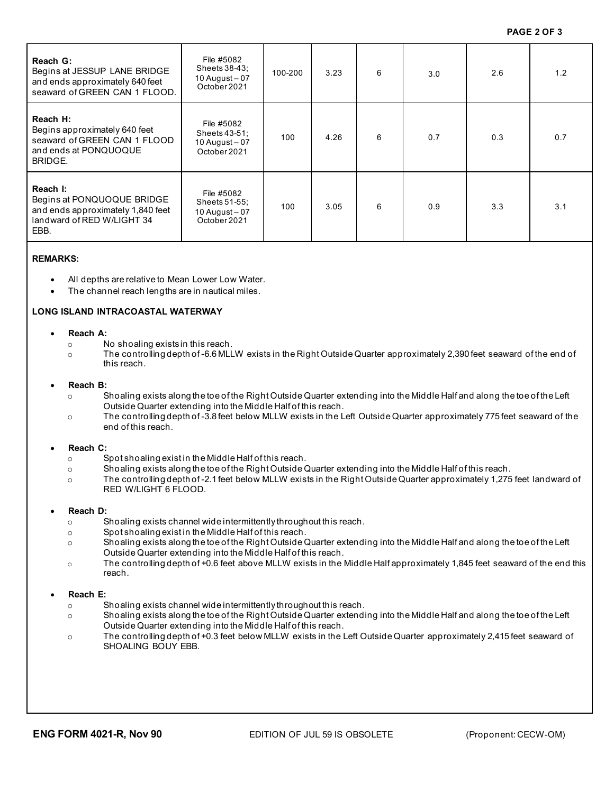| Reach G:<br>Begins at JESSUP LANE BRIDGE<br>and ends approximately 640 feet<br>seaward of GREEN CAN 1 FLOOD.      | File #5082<br>Sheets 38-43;<br>10 August $-07$<br>October 2021 | 100-200 | 3.23 | 6 | 3.0 | 2.6 | 1.2 |
|-------------------------------------------------------------------------------------------------------------------|----------------------------------------------------------------|---------|------|---|-----|-----|-----|
| Reach H:<br>Begins approximately 640 feet<br>seaward of GREEN CAN 1 FLOOD<br>and ends at PONQUOQUE<br>BRIDGE.     | File #5082<br>Sheets 43-51;<br>10 August $-07$<br>October 2021 | 100     | 4.26 | 6 | 0.7 | 0.3 | 0.7 |
| Reach I:<br>Begins at PONQUOQUE BRIDGE<br>and ends approximately 1,840 feet<br>landward of RED W/LIGHT 34<br>EBB. | File #5082<br>Sheets 51-55;<br>10 August $-07$<br>October 2021 | 100     | 3.05 | 6 | 0.9 | 3.3 | 3.1 |

# **REMARKS:**

- All depths are relative to Mean Lower Low Water.
- The channel reach lengths are in nautical miles.

## **LONG ISLAND INTRACOASTAL WATERWAY**

## • **Reach A:**

- o No shoaling exists in this reach.
- $\circ$  The controlling depth of -6.6 MLLW exists in the Right Outside Quarter approximately 2,390 feet seaward of the end of this reach.

## • **Reach B:**

- $\circ$  Shoaling exists along the toe of the Right Outside Quarter extending into the Middle Half and along the toe of the Left Outside Quarter extending into the Middle Half of this reach.
- $\circ$  The controlling depth of -3.8 feet below MLLW exists in the Left Outside Quarter approximately 775 feet seaward of the end of this reach.

## • **Reach C:**

- o Spot shoaling exist in the Middle Half of this reach.
- $\circ$  Shoaling exists along the toe of the Right Outside Quarter extending into the Middle Half of this reach.
- o The controlling depth of -2.1 feet below MLLW exists in the Right Outside Quarter approximately 1,275 feet landward of RED W/LIGHT 6 FLOOD.

## • **Reach D:**

- o Shoaling exists channel wide intermittently throughout this reach.
- o Spot shoaling exist in the Middle Half of this reach.
- $\circ$  Shoaling exists along the toe of the Right Outside Quarter extending into the Middle Half and along the toe of the Left Outside Quarter extending into the Middle Half of this reach.
- o The controlling depth of +0.6 feet above MLLW exists in the Middle Half approximately 1,845 feet seaward of the end this reach.

#### • **Reach E:**

- $\circ$  Shoaling exists channel wide intermittently throughout this reach.<br>Shoaling exists along the toe of the Right Outside Quarter extendi
- Shoaling exists along the toe of the Right Outside Quarter extending into the Middle Half and along the toe of the Left Outside Quarter extending into the Middle Half of this reach.
- $\circ$  The controlling depth of +0.3 feet below MLLW exists in the Left Outside Quarter approximately 2,415 feet seaward of SHOALING BOUY EBB.